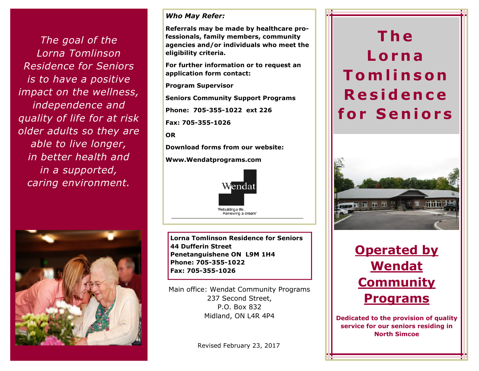*The goal of the Lorna Tomlinson Residence for Seniors is to have a positive impact on the wellness, independence and quality of life for at risk older adults so they are able to live longer, in better health and in a supported, caring environment.*



### *Who May Refer:*

**Referrals may be made by healthcare professionals, family members, community agencies and/or individuals who meet the eligibility criteria.**

**For further information or to request an application form contact:**

**Program Supervisor**

**Seniors Community Support Programs**

**Phone: 705-355-1022 ext 226**

**Fax: 705-355-1026**

**OR**

**Download forms from our website:**

**Www.Wendatprograms.com**



**Lorna Tomlinson Residence for Seniors 44 Dufferin Street Penetanguishene ON L9M 1H4 Phone: 705-355-1022 Fax: 705-355-1026**

Main office: Wendat Community Programs 237 Second Street, P.O. Box 832 Midland, ON L4R 4P4

Revised February 23, 2017

## **T h e L o r n a T om l i n s o n R e s i d e n c e f o r S e n i o r s**





**Dedicated to the provision of quality service for our seniors residing in North Simcoe**